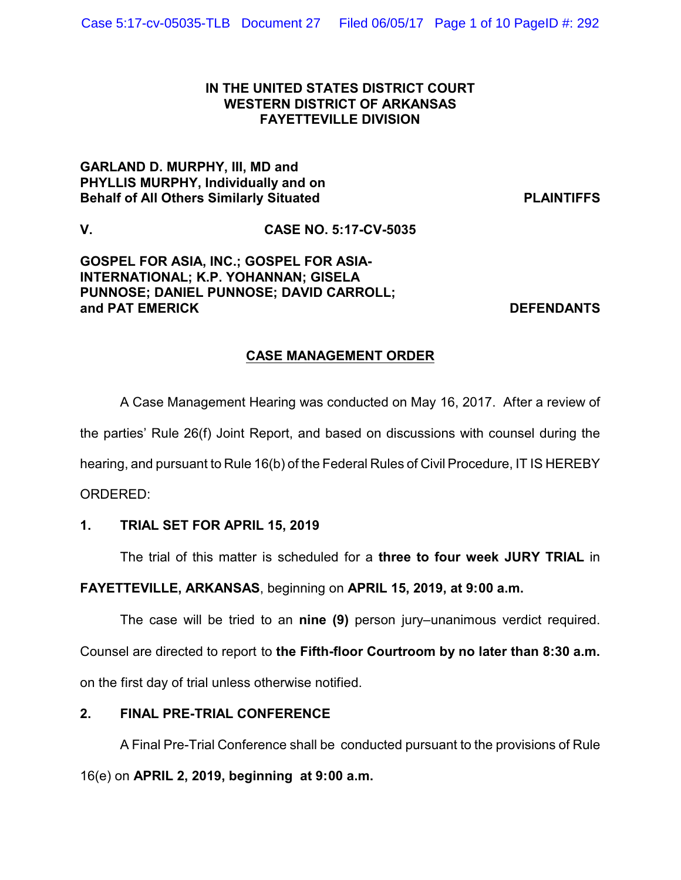### **IN THE UNITED STATES DISTRICT COURT WESTERN DISTRICT OF ARKANSAS FAYETTEVILLE DIVISION**

# **GARLAND D. MURPHY, III, MD and PHYLLIS MURPHY, Individually and on Behalf of All Others Similarly Situated PLAINTIFFS**

**V. CASE NO. 5:17-CV-5035**

**GOSPEL FOR ASIA, INC.; GOSPEL FOR ASIA-INTERNATIONAL; K.P. YOHANNAN; GISELA PUNNOSE; DANIEL PUNNOSE; DAVID CARROLL; and PAT EMERICK DEFENDANTS**

# **CASE MANAGEMENT ORDER**

A Case Management Hearing was conducted on May 16, 2017. After a review of the parties' Rule 26(f) Joint Report, and based on discussions with counsel during the hearing, and pursuant to Rule 16(b) of the Federal Rules of Civil Procedure, IT IS HEREBY ORDERED:

# **1. TRIAL SET FOR APRIL 15, 2019**

The trial of this matter is scheduled for a **three to four week JURY TRIAL** in

**FAYETTEVILLE, ARKANSAS**, beginning on **APRIL 15, 2019, at 9:00 a.m.** 

The case will be tried to an **nine (9)** person jury–unanimous verdict required. Counsel are directed to report to **the Fifth-floor Courtroom by no later than 8:30 a.m.** on the first day of trial unless otherwise notified.

# **2. FINAL PRE-TRIAL CONFERENCE**

A Final Pre-Trial Conference shall be conducted pursuant to the provisions of Rule 16(e) on **APRIL 2, 2019, beginning at 9:00 a.m.**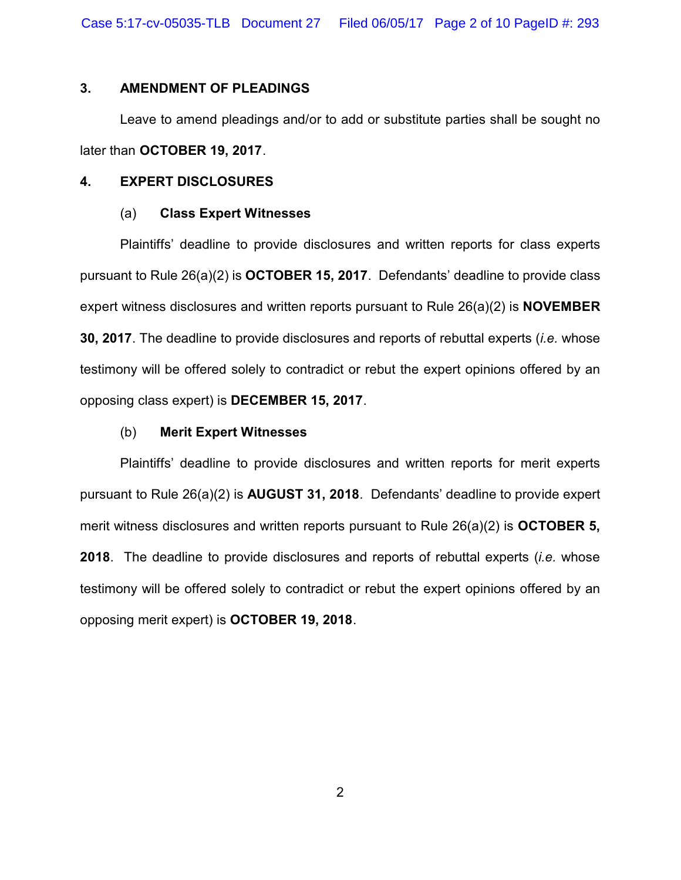Case 5:17-cv-05035-TLB Document 27 Filed 06/05/17 Page 2 of 10 PageID #: 293

### **3. AMENDMENT OF PLEADINGS**

Leave to amend pleadings and/or to add or substitute parties shall be sought no later than **OCTOBER 19, 2017**.

#### **4. EXPERT DISCLOSURES**

#### (a) **Class Expert Witnesses**

Plaintiffs' deadline to provide disclosures and written reports for class experts pursuant to Rule 26(a)(2) is **OCTOBER 15, 2017**. Defendants' deadline to provide class expert witness disclosures and written reports pursuant to Rule 26(a)(2) is **NOVEMBER 30, 2017**. The deadline to provide disclosures and reports of rebuttal experts (*i.e.* whose testimony will be offered solely to contradict or rebut the expert opinions offered by an opposing class expert) is **DECEMBER 15, 2017**.

#### (b) **Merit Expert Witnesses**

Plaintiffs' deadline to provide disclosures and written reports for merit experts pursuant to Rule 26(a)(2) is **AUGUST 31, 2018**. Defendants' deadline to provide expert merit witness disclosures and written reports pursuant to Rule 26(a)(2) is **OCTOBER 5, 2018**. The deadline to provide disclosures and reports of rebuttal experts (*i.e.* whose testimony will be offered solely to contradict or rebut the expert opinions offered by an opposing merit expert) is **OCTOBER 19, 2018**.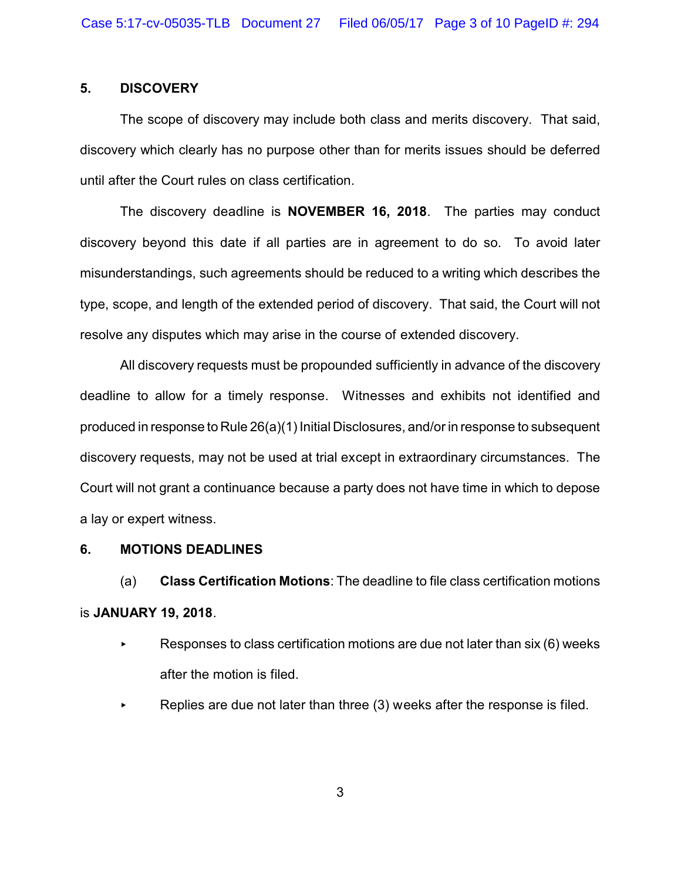# **5. DISCOVERY**

The scope of discovery may include both class and merits discovery. That said, discovery which clearly has no purpose other than for merits issues should be deferred until after the Court rules on class certification.

The discovery deadline is **NOVEMBER 16, 2018**. The parties may conduct discovery beyond this date if all parties are in agreement to do so. To avoid later misunderstandings, such agreements should be reduced to a writing which describes the type, scope, and length of the extended period of discovery. That said, the Court will not resolve any disputes which may arise in the course of extended discovery.

All discovery requests must be propounded sufficiently in advance of the discovery deadline to allow for a timely response. Witnesses and exhibits not identified and produced in response to Rule 26(a)(1) Initial Disclosures, and/or in response to subsequent discovery requests, may not be used at trial except in extraordinary circumstances. The Court will not grant a continuance because a party does not have time in which to depose a lay or expert witness.

#### **6. MOTIONS DEADLINES**

(a) **Class Certification Motions**: The deadline to file class certification motions is **JANUARY 19, 2018**.

- Responses to class certification motions are due not later than six  $(6)$  weeks after the motion is filed.
- Replies are due not later than three (3) weeks after the response is filed.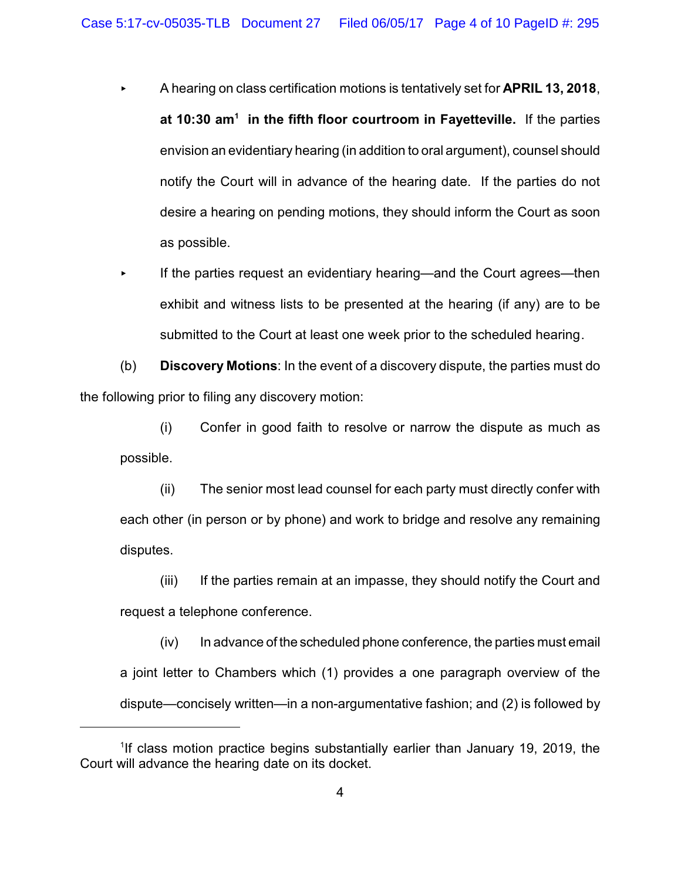- < A hearing on class certification motions is tentatively set for **APRIL 13, 2018**, **at 10:30 am<sup>1</sup> in the fifth floor courtroom in Fayetteville.** If the parties envision an evidentiary hearing (in addition to oral argument), counsel should notify the Court will in advance of the hearing date. If the parties do not desire a hearing on pending motions, they should inform the Court as soon as possible.
- < If the parties request an evidentiary hearing—and the Court agrees—then exhibit and witness lists to be presented at the hearing (if any) are to be submitted to the Court at least one week prior to the scheduled hearing.

(b) **Discovery Motions**: In the event of a discovery dispute, the parties must do the following prior to filing any discovery motion:

(i) Confer in good faith to resolve or narrow the dispute as much as possible.

(ii) The senior most lead counsel for each party must directly confer with each other (in person or by phone) and work to bridge and resolve any remaining disputes.

(iii) If the parties remain at an impasse, they should notify the Court and request a telephone conference.

 $(iv)$  In advance of the scheduled phone conference, the parties must email a joint letter to Chambers which (1) provides a one paragraph overview of the dispute—concisely written—in a non-argumentative fashion; and (2) is followed by

<sup>&</sup>lt;sup>1</sup>If class motion practice begins substantially earlier than January 19, 2019, the Court will advance the hearing date on its docket.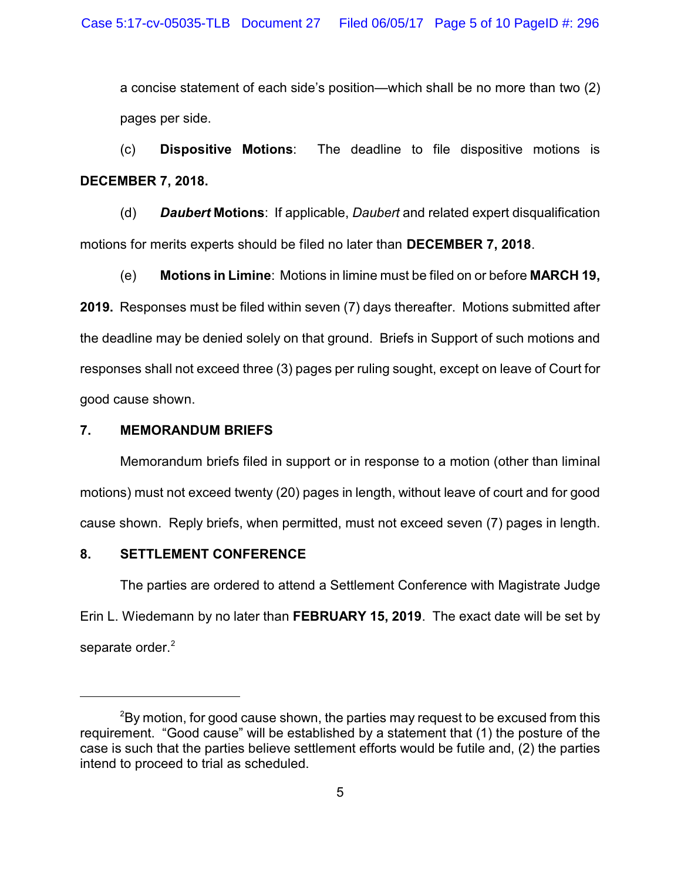a concise statement of each side's position—which shall be no more than two (2) pages per side.

(c) **Dispositive Motions**: The deadline to file dispositive motions is **DECEMBER 7, 2018.** 

(d) *Daubert* **Motions**: If applicable, *Daubert* and related expert disqualification motions for merits experts should be filed no later than **DECEMBER 7, 2018**.

(e) **Motions in Limine**: Motions in limine must be filed on or before **MARCH 19, 2019.** Responses must be filed within seven (7) days thereafter. Motions submitted after the deadline may be denied solely on that ground. Briefs in Support of such motions and responses shall not exceed three (3) pages per ruling sought, except on leave of Court for good cause shown.

# **7. MEMORANDUM BRIEFS**

Memorandum briefs filed in support or in response to a motion (other than liminal motions) must not exceed twenty (20) pages in length, without leave of court and for good cause shown. Reply briefs, when permitted, must not exceed seven (7) pages in length.

# **8. SETTLEMENT CONFERENCE**

The parties are ordered to attend a Settlement Conference with Magistrate Judge Erin L. Wiedemann by no later than **FEBRUARY 15, 2019**. The exact date will be set by separate order.<sup>2</sup>

 $2$ By motion, for good cause shown, the parties may request to be excused from this requirement. "Good cause" will be established by a statement that (1) the posture of the case is such that the parties believe settlement efforts would be futile and, (2) the parties intend to proceed to trial as scheduled.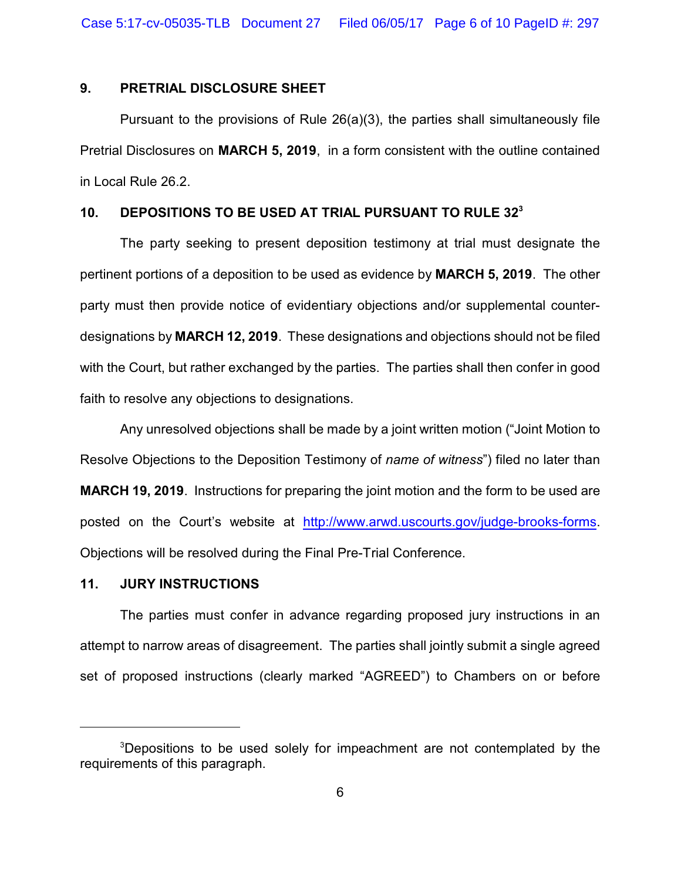### **9. PRETRIAL DISCLOSURE SHEET**

Pursuant to the provisions of Rule 26(a)(3), the parties shall simultaneously file Pretrial Disclosures on **MARCH 5, 2019**, in a form consistent with the outline contained in Local Rule 26.2.

#### **10. DEPOSITIONS TO BE USED AT TRIAL PURSUANT TO RULE 32<sup>3</sup>**

The party seeking to present deposition testimony at trial must designate the pertinent portions of a deposition to be used as evidence by **MARCH 5, 2019**. The other party must then provide notice of evidentiary objections and/or supplemental counterdesignations by **MARCH 12, 2019**. These designations and objections should not be filed with the Court, but rather exchanged by the parties. The parties shall then confer in good faith to resolve any objections to designations.

Any unresolved objections shall be made by a joint written motion ("Joint Motion to Resolve Objections to the Deposition Testimony of *name of witness*") filed no later than **MARCH 19, 2019**. Instructions for preparing the joint motion and the form to be used are posted on the Court's website at <http://www.arwd.uscourts.gov/judge-brooks-forms>. Objections will be resolved during the Final Pre-Trial Conference.

#### **11. JURY INSTRUCTIONS**

The parties must confer in advance regarding proposed jury instructions in an attempt to narrow areas of disagreement. The parties shall jointly submit a single agreed set of proposed instructions (clearly marked "AGREED") to Chambers on or before

<sup>&</sup>lt;sup>3</sup>Depositions to be used solely for impeachment are not contemplated by the requirements of this paragraph.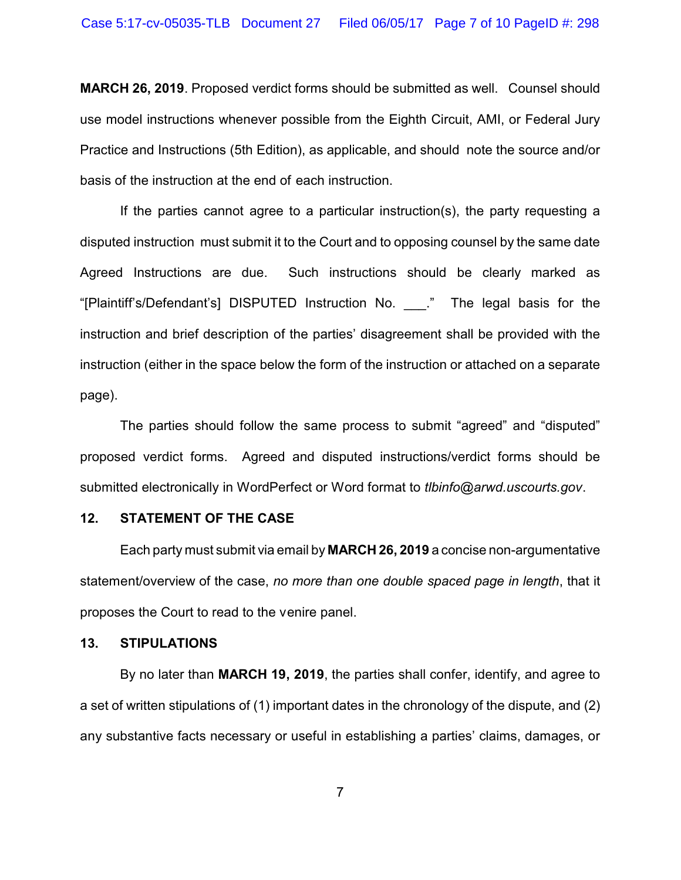**MARCH 26, 2019**. Proposed verdict forms should be submitted as well. Counsel should use model instructions whenever possible from the Eighth Circuit, AMI, or Federal Jury Practice and Instructions (5th Edition), as applicable, and should note the source and/or basis of the instruction at the end of each instruction.

If the parties cannot agree to a particular instruction(s), the party requesting a disputed instruction must submit it to the Court and to opposing counsel by the same date Agreed Instructions are due. Such instructions should be clearly marked as "[Plaintiff's/Defendant's] DISPUTED Instruction No. \_\_\_." The legal basis for the instruction and brief description of the parties' disagreement shall be provided with the instruction (either in the space below the form of the instruction or attached on a separate page).

The parties should follow the same process to submit "agreed" and "disputed" proposed verdict forms. Agreed and disputed instructions/verdict forms should be submitted electronically in WordPerfect or Word format to *tlbinfo@arwd.uscourts.gov*.

#### **12. STATEMENT OF THE CASE**

Each party must submit via email by **MARCH 26, 2019** a concise non-argumentative statement/overview of the case, *no more than one double spaced page in length*, that it proposes the Court to read to the venire panel.

#### **13. STIPULATIONS**

By no later than **MARCH 19, 2019**, the parties shall confer, identify, and agree to a set of written stipulations of (1) important dates in the chronology of the dispute, and (2) any substantive facts necessary or useful in establishing a parties' claims, damages, or

7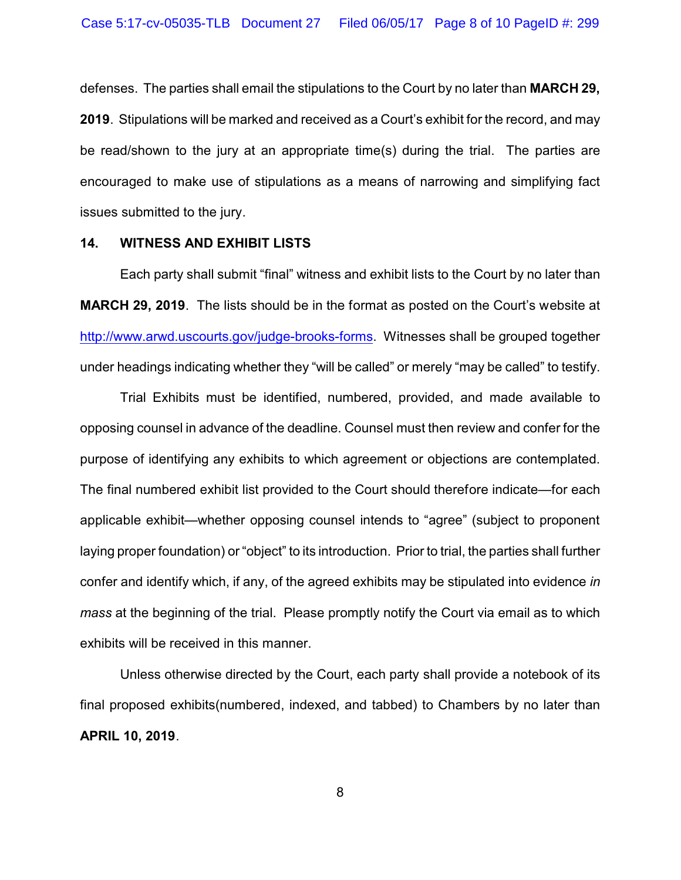defenses. The parties shall email the stipulations to the Court by no later than **MARCH 29, 2019**. Stipulations will be marked and received as a Court's exhibit for the record, and may be read/shown to the jury at an appropriate time(s) during the trial. The parties are encouraged to make use of stipulations as a means of narrowing and simplifying fact issues submitted to the jury.

#### **14. WITNESS AND EXHIBIT LISTS**

Each party shall submit "final" witness and exhibit lists to the Court by no later than **MARCH 29, 2019**. The lists should be in the format as posted on the Court's website at <http://www.arwd.uscourts.gov/judge-brooks-forms>. Witnesses shall be grouped together under headings indicating whether they "will be called" or merely "may be called" to testify.

Trial Exhibits must be identified, numbered, provided, and made available to opposing counsel in advance of the deadline. Counsel must then review and confer for the purpose of identifying any exhibits to which agreement or objections are contemplated. The final numbered exhibit list provided to the Court should therefore indicate—for each applicable exhibit—whether opposing counsel intends to "agree" (subject to proponent laying proper foundation) or "object" to its introduction. Prior to trial, the parties shall further confer and identify which, if any, of the agreed exhibits may be stipulated into evidence *in mass* at the beginning of the trial. Please promptly notify the Court via email as to which exhibits will be received in this manner.

Unless otherwise directed by the Court, each party shall provide a notebook of its final proposed exhibits(numbered, indexed, and tabbed) to Chambers by no later than **APRIL 10, 2019**.

8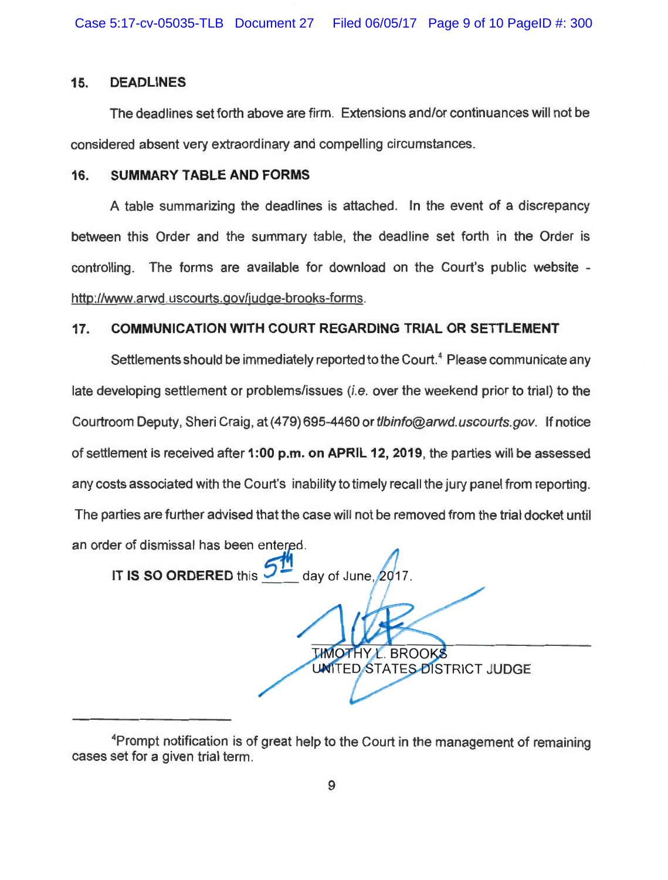#### **15. DEADLINES**

The deadlines set forth above are firm. Extensions and/or continuances will not be considered absent very extraordinary and compelling circumstances.

#### **16. SUMMARY TABLE AND FORMS**

A table summarizing the deadlines is attached. In the event of a discrepancy between this Order and the summary table, the deadline set forth in the Order is controlling. The forms are available for download on the Court's public website http://www.arwd.uscourts.gov/judge-brooks-forms.

# **17. COMMUNICATION WITH COURT REGARDING TRIAL OR SETTLEMENT**

Settlements should be immediately reported to the Court.<sup>4</sup> Please communicate any late developing settlement or problems/issues (i.e. over the weekend prior to trial) to the Courtroom Deputy, Sheri Craig, at (479) 695-4460 or tlbinfo@arwd.uscourts.gov. If notice of settlement is received after **1 :00 p.m. on APRIL 12, 2019,** the parties will be assessed any costs associated with the Court's inability to timely recall the jury panel from reporting. The parties are further advised that the case will not be removed from the trial docket until an order of dismissal has been entered.

**IT IS SO ORDERED** this  $\rightarrow$  **day of June, 2017** 

*LHNOTHY L. BROOKS* **UNITED STATES DISTRICT JUDGE** 

<sup>4</sup> Prompt notification is of great help to the Court in the management of remaining cases set for a given trial term.